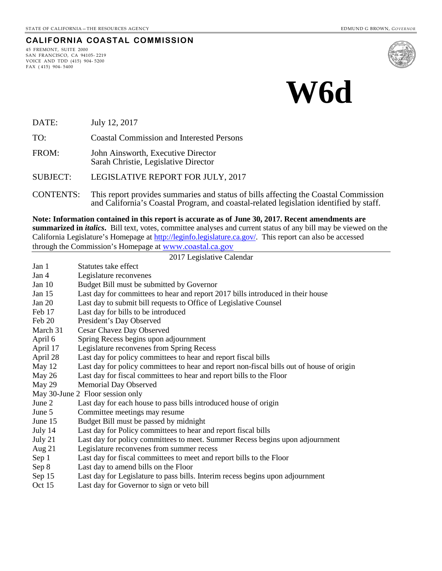#### **CALIFORNIA COASTAL COMMISSION**

45 FREMONT, SUITE 2000 SAN FRANCISCO, CA 94105- 2219 VOICE AND TDD (415) 904- 5200 FAX ( 415) 904- 5400



# **W6d**

DATE: July 12, 2017

TO: Coastal Commission and Interested Persons

FROM: John Ainsworth, Executive Director Sarah Christie, Legislative Director

SUBJECT: LEGISLATIVE REPORT FOR JULY, 2017

CONTENTS: This report provides summaries and status of bills affecting the Coastal Commission and California's Coastal Program, and coastal-related legislation identified by staff.

**Note: Information contained in this report is accurate as of June 30, 2017. Recent amendments are summarized in** *italics***.** Bill text, votes, committee analyses and current status of any bill may be viewed on the California Legislature's Homepage at [http://leginfo.legislature.ca.gov/.](http://leginfo.legislature.ca.gov/) This report can also be accessed through the Commission's Homepage at [www.coastal.ca.gov](http://www.coastal.ca.gov/)

#### 2017 Legislative Calendar Jan 1 Statutes take effect Jan 4 Legislature reconvenes Jan 10 Budget Bill must be submitted by Governor Jan 15 Last day for committees to hear and report 2017 bills introduced in their house Jan 20 Last day to submit bill requests to Office of Legislative Counsel Feb 17 Last day for bills to be introduced<br>Feb 20 President's Day Observed President's Day Observed March 31 Cesar Chavez Day Observed April 6 Spring Recess begins upon adjournment April 17 Legislature reconvenes from Spring Recess April 28 Last day for policy committees to hear and report fiscal bills May 12 Last day for policy committees to hear and report non-fiscal bills out of house of origin May 26 Last day for fiscal committees to hear and report bills to the Floor May 29 Memorial Day Observed May 30-June 2 Floor session only<br>June 2 Last day for each ho Last day for each house to pass bills introduced house of origin June 5 Committee meetings may resume June 15 Budget Bill must be passed by midnight July 14 Last day for Policy committees to hear and report fiscal bills July 21 Last day for policy committees to meet. Summer Recess begins upon adjournment Aug 21 Legislature reconvenes from summer recess Sep 1 Last day for fiscal committees to meet and report bills to the Floor Sep 8 Last day to amend bills on the Floor Sep 15 Last day for Legislature to pass bills. Interim recess begins upon adjournment

Oct 15 Last day for Governor to sign or veto bill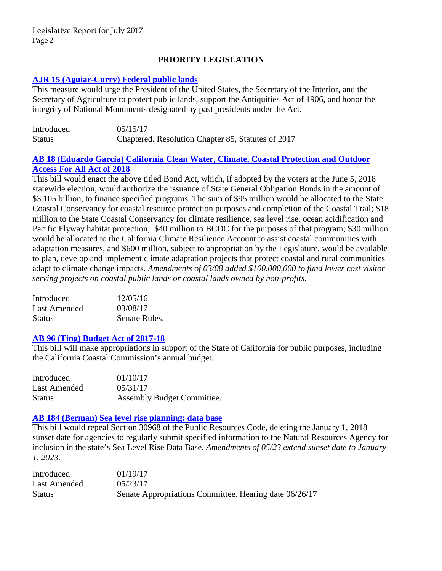## **PRIORITY LEGISLATION**

## **[AJR 15 \(Aguiar-Curry\) Federal public lands](http://leginfo.legislature.ca.gov/faces/billTextClient.xhtml?bill_id=201720180AJR15)**

This measure would urge the President of the United States, the Secretary of the Interior, and the Secretary of Agriculture to protect public lands, support the Antiquities Act of 1906, and honor the integrity of National Monuments designated by past presidents under the Act.

| Introduced    | 05/15/17                                           |
|---------------|----------------------------------------------------|
| <b>Status</b> | Chaptered. Resolution Chapter 85, Statutes of 2017 |

## **[AB 18 \(Eduardo Garcia\) California Clean Water, Climate, Coastal Protection and Outdoor](http://leginfo.legislature.ca.gov/faces/billNavClient.xhtml?bill_id=201720180AB18)  [Access For All Act of 2018](http://leginfo.legislature.ca.gov/faces/billNavClient.xhtml?bill_id=201720180AB18)**

This bill would enact the above titled Bond Act, which, if adopted by the voters at the June 5, 2018 statewide election, would authorize the issuance of State General Obligation Bonds in the amount of \$3.105 billion, to finance specified programs. The sum of \$95 million would be allocated to the State Coastal Conservancy for coastal resource protection purposes and completion of the Coastal Trail; \$18 million to the State Coastal Conservancy for climate resilience, sea level rise, ocean acidification and Pacific Flyway habitat protection; \$40 million to BCDC for the purposes of that program; \$30 million would be allocated to the California Climate Resilience Account to assist coastal communities with adaptation measures, and \$600 million, subject to appropriation by the Legislature, would be available to plan, develop and implement climate adaptation projects that protect coastal and rural communities adapt to climate change impacts. *Amendments of 03/08 added \$100,000,000 to fund lower cost visitor serving projects on coastal public lands or coastal lands owned by non-profits.* 

| Introduced    | 12/05/16      |
|---------------|---------------|
| Last Amended  | 03/08/17      |
| <b>Status</b> | Senate Rules. |

## **[AB 96 \(Ting\) Budget Act of 2017-18](http://leginfo.legislature.ca.gov/faces/billNavClient.xhtml?bill_id=201720180AB96)**

This bill will make appropriations in support of the State of California for public purposes, including the California Coastal Commission's annual budget.

| Introduced   | 01/10/17                   |
|--------------|----------------------------|
| Last Amended | 05/31/17                   |
| Status       | Assembly Budget Committee. |

#### **[AB 184 \(Berman\) Sea level rise planning: data base](http://leginfo.legislature.ca.gov/faces/billNavClient.xhtml?bill_id=201720180AB184)**

This bill would repeal Section 30968 of the Public Resources Code, deleting the January 1, 2018 sunset date for agencies to regularly submit specified information to the Natural Resources Agency for inclusion in the state's Sea Level Rise Data Base. *Amendments of 05/23 extend sunset date to January 1, 2023.* 

| Introduced    | 01/19/17                                               |
|---------------|--------------------------------------------------------|
| Last Amended  | 0.5/23/17                                              |
| <b>Status</b> | Senate Appropriations Committee. Hearing date 06/26/17 |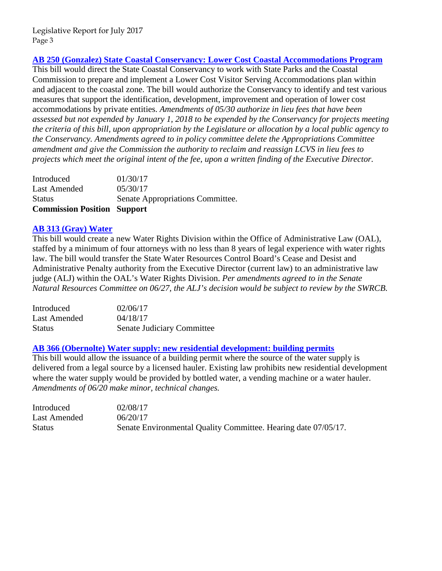## **[AB 250 \(Gonzalez\) State Coastal Conservancy: Lower Cost Coastal Accommodations Program](http://leginfo.legislature.ca.gov/faces/billNavClient.xhtml?bill_id=201720180AB250)**

This bill would direct the State Coastal Conservancy to work with State Parks and the Coastal Commission to prepare and implement a Lower Cost Visitor Serving Accommodations plan within and adjacent to the coastal zone. The bill would authorize the Conservancy to identify and test various measures that support the identification, development, improvement and operation of lower cost accommodations by private entities. *Amendments of 05/30 authorize in lieu fees that have been assessed but not expended by January 1, 2018 to be expended by the Conservancy for projects meeting the criteria of this bill, upon appropriation by the Legislature or allocation by a local public agency to the Conservancy. Amendments agreed to in policy committee delete the Appropriations Committee amendment and give the Commission the authority to reclaim and reassign LCVS in lieu fees to projects which meet the original intent of the fee, upon a written finding of the Executive Director.* 

| <b>Commission Position Support</b> |                                  |
|------------------------------------|----------------------------------|
| <b>Status</b>                      | Senate Appropriations Committee. |
| Last Amended                       | 05/30/17                         |
| Introduced                         | 01/30/17                         |

#### **[AB 313 \(Gray\) Water](http://leginfo.legislature.ca.gov/faces/billNavClient.xhtml?bill_id=201720180AB313)**

This bill would create a new Water Rights Division within the Office of Administrative Law (OAL), staffed by a minimum of four attorneys with no less than 8 years of legal experience with water rights law. The bill would transfer the State Water Resources Control Board's Cease and Desist and Administrative Penalty authority from the Executive Director (current law) to an administrative law judge (ALJ) within the OAL's Water Rights Division. *Per amendments agreed to in the Senate Natural Resources Committee on 06/27, the ALJ's decision would be subject to review by the SWRCB.*

| Introduced    | 02/06/17                   |
|---------------|----------------------------|
| Last Amended  | 04/18/17                   |
| <b>Status</b> | Senate Judiciary Committee |

#### **[AB 366 \(Obernolte\) Water supply: new residential development: building permits](http://leginfo.legislature.ca.gov/faces/billNavClient.xhtml?bill_id=201720180AB366)**

This bill would allow the issuance of a building permit where the source of the water supply is delivered from a legal source by a licensed hauler. Existing law prohibits new residential development where the water supply would be provided by bottled water, a vending machine or a water hauler. *Amendments of 06/20 make minor, technical changes.*

| Introduced    | 02/08/17                                                       |
|---------------|----------------------------------------------------------------|
| Last Amended  | 06/20/17                                                       |
| <b>Status</b> | Senate Environmental Quality Committee. Hearing date 07/05/17. |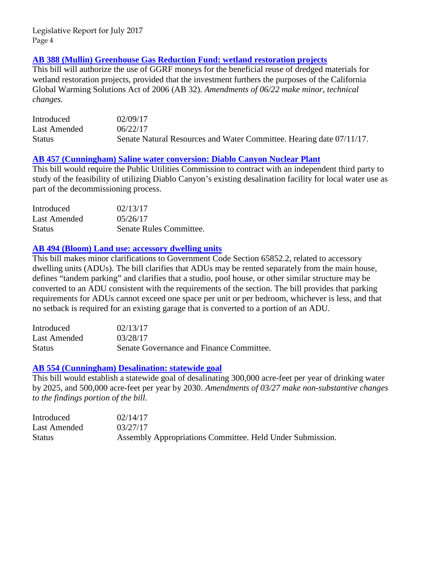## **[AB 388 \(Mullin\) Greenhouse Gas Reduction Fund: wetland restoration projects](http://leginfo.legislature.ca.gov/faces/billNavClient.xhtml?bill_id=201720180AB388)**

This bill will authorize the use of GGRF moneys for the beneficial reuse of dredged materials for wetland restoration projects, provided that the investment furthers the purposes of the California Global Warming Solutions Act of 2006 (AB 32). *Amendments of 06/22 make minor, technical changes.*

| Introduced    | 02/09/17                                                             |
|---------------|----------------------------------------------------------------------|
| Last Amended  | 06/22/17                                                             |
| <b>Status</b> | Senate Natural Resources and Water Committee. Hearing date 07/11/17. |

#### **[AB 457 \(Cunningham\) Saline water conversion: Diablo Canyon Nuclear Plant](http://leginfo.legislature.ca.gov/faces/billNavClient.xhtml?bill_id=201720180AB457)**

This bill would require the Public Utilities Commission to contract with an independent third party to study of the feasibility of utilizing Diablo Canyon's existing desalination facility for local water use as part of the decommissioning process.

| Introduced    | 02/13/17                |
|---------------|-------------------------|
| Last Amended  | 0.5/26/17               |
| <b>Status</b> | Senate Rules Committee. |

#### **[AB 494 \(Bloom\) Land use: accessory dwelling units](http://leginfo.legislature.ca.gov/faces/billNavClient.xhtml?bill_id=201720180AB494)**

This bill makes minor clarifications to Government Code Section 65852.2, related to accessory dwelling units (ADUs). The bill clarifies that ADUs may be rented separately from the main house, defines "tandem parking" and clarifies that a studio, pool house, or other similar structure may be converted to an ADU consistent with the requirements of the section. The bill provides that parking requirements for ADUs cannot exceed one space per unit or per bedroom, whichever is less, and that no setback is required for an existing garage that is converted to a portion of an ADU.

| Introduced    | 02/13/17                                 |
|---------------|------------------------------------------|
| Last Amended  | 03/28/17                                 |
| <b>Status</b> | Senate Governance and Finance Committee. |

#### **[AB 554 \(Cunningham\) Desalination: statewide goal](http://leginfo.legislature.ca.gov/faces/billNavClient.xhtml?bill_id=201720180AB554)**

This bill would establish a statewide goal of desalinating 300,000 acre-feet per year of drinking water by 2025, and 500,000 acre-feet per year by 2030. *Amendments of 03/27 make non-substantive changes to the findings portion of the bill.* 

| Introduced    | 02/14/17                                                  |
|---------------|-----------------------------------------------------------|
| Last Amended  | 03/27/17                                                  |
| <b>Status</b> | Assembly Appropriations Committee. Held Under Submission. |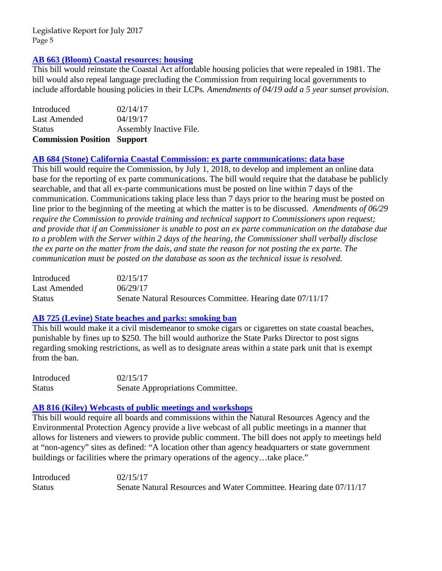## **[AB 663 \(Bloom\) Coastal resources: housing](http://leginfo.legislature.ca.gov/faces/billNavClient.xhtml?bill_id=201720180AB663)**

This bill would reinstate the Coastal Act affordable housing policies that were repealed in 1981. The bill would also repeal language precluding the Commission from requiring local governments to include affordable housing policies in their LCPs*. Amendments of 04/19 add a 5 year sunset provision.*

| <b>Commission Position Support</b> |
|------------------------------------|
| Assembly Inactive File.            |
| 04/19/17                           |
| 02/14/17                           |
|                                    |

#### **[AB 684 \(Stone\) California Coastal Commission: ex parte communications: data base](http://leginfo.legislature.ca.gov/faces/billNavClient.xhtml?bill_id=201720180AB684)**

This bill would require the Commission, by July 1, 2018, to develop and implement an online data base for the reporting of ex parte communications. The bill would require that the database be publicly searchable, and that all ex-parte communications must be posted on line within 7 days of the communication. Communications taking place less than 7 days prior to the hearing must be posted on line prior to the beginning of the meeting at which the matter is to be discussed. *Amendments of 06/29 require the Commission to provide training and technical support to Commissioners upon request; and provide that if an Commissioner is unable to post an ex parte communication on the database due to a problem with the Server within 2 days of the hearing, the Commissioner shall verbally disclose the ex parte on the matter from the dais, and state the reason for not posting the ex parte. The communication must be posted on the database as soon as the technical issue is resolved.* 

| Introduced   | 02/15/17                                                  |
|--------------|-----------------------------------------------------------|
| Last Amended | 06/29/17                                                  |
| Status       | Senate Natural Resources Committee. Hearing date 07/11/17 |

#### **[AB 725 \(Levine\) State beaches and parks: smoking ban](http://leginfo.legislature.ca.gov/faces/billNavClient.xhtml?bill_id=201720180AB725)**

This bill would make it a civil misdemeanor to smoke cigars or cigarettes on state coastal beaches, punishable by fines up to \$250. The bill would authorize the State Parks Director to post signs regarding smoking restrictions, as well as to designate areas within a state park unit that is exempt from the ban.

| Introduced | 02/15/17                         |
|------------|----------------------------------|
| Status     | Senate Appropriations Committee. |

#### **[AB 816 \(Kiley\) Webcasts of public meetings and workshops](http://leginfo.legislature.ca.gov/faces/billTextClient.xhtml?bill_id=201720180AB816)**

This bill would require all boards and commissions within the Natural Resources Agency and the Environmental Protection Agency provide a live webcast of all public meetings in a manner that allows for listeners and viewers to provide public comment. The bill does not apply to meetings held at "non-agency" sites as defined: "A location other than agency headquarters or state government buildings or facilities where the primary operations of the agency...take place."

| Introduced    | 02/15/17                                                            |
|---------------|---------------------------------------------------------------------|
| <b>Status</b> | Senate Natural Resources and Water Committee. Hearing date 07/11/17 |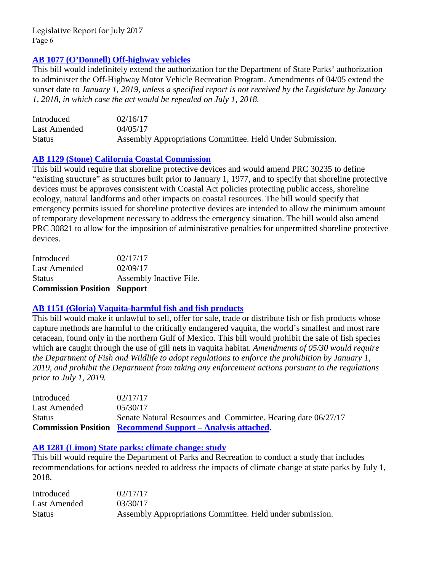## **[AB 1077 \(O'Donnell\) Off-highway vehicles](http://leginfo.legislature.ca.gov/faces/billNavClient.xhtml?bill_id=201720180AB1077)**

This bill would indefinitely extend the authorization for the Department of State Parks' authorization to administer the Off-Highway Motor Vehicle Recreation Program. Amendments of 04/05 extend the sunset date to *January 1, 2019, unless a specified report is not received by the Legislature by January 1, 2018, in which case the act would be repealed on July 1, 2018.* 

| Introduced    | 02/16/17                                                  |
|---------------|-----------------------------------------------------------|
| Last Amended  | 04/05/17                                                  |
| <b>Status</b> | Assembly Appropriations Committee. Held Under Submission. |

#### **[AB 1129 \(Stone\) California Coastal Commission](http://leginfo.legislature.ca.gov/faces/billNavClient.xhtml?bill_id=201720180AB1129)**

This bill would require that shoreline protective devices and would amend PRC 30235 to define "existing structure" as structures built prior to January 1, 1977, and to specify that shoreline protective devices must be approves consistent with Coastal Act policies protecting public access, shoreline ecology, natural landforms and other impacts on coastal resources. The bill would specify that emergency permits issued for shoreline protective devices are intended to allow the minimum amount of temporary development necessary to address the emergency situation. The bill would also amend PRC 30821 to allow for the imposition of administrative penalties for unpermitted shoreline protective devices.

| <b>Commission Position Support</b> |
|------------------------------------|
| Assembly Inactive File.            |
| 02/09/17                           |
| 02/17/17                           |
|                                    |

#### **[AB 1151 \(Gloria\) Vaquita-harmful fish and fish products](http://leginfo.legislature.ca.gov/faces/billNavClient.xhtml?bill_id=201720180AB1151)**

This bill would make it unlawful to sell, offer for sale, trade or distribute fish or fish products whose capture methods are harmful to the critically endangered vaquita, the world's smallest and most rare cetacean, found only in the northern Gulf of Mexico. This bill would prohibit the sale of fish species which are caught through the use of gill nets in vaquita habitat. *Amendments of 05/30 would require the Department of Fish and Wildlife to adopt regulations to enforce the prohibition by January 1, 2019, and prohibit the Department from taking any enforcement actions pursuant to the regulations prior to July 1, 2019.* 

| Introduced    | 02/17/17                                                          |  |
|---------------|-------------------------------------------------------------------|--|
| Last Amended  | 05/30/17                                                          |  |
| <b>Status</b> | Senate Natural Resources and Committee. Hearing date 06/27/17     |  |
|               | <b>Commission Position Recommend Support – Analysis attached.</b> |  |

#### **[AB 1281 \(Limon\) State parks: climate change: study](http://leginfo.legislature.ca.gov/faces/billNavClient.xhtml?bill_id=201720180AB1281)**

This bill would require the Department of Parks and Recreation to conduct a study that includes recommendations for actions needed to address the impacts of climate change at state parks by July 1, 2018.

| Introduced    | 02/17/17                                                  |
|---------------|-----------------------------------------------------------|
| Last Amended  | 03/30/17                                                  |
| <b>Status</b> | Assembly Appropriations Committee. Held under submission. |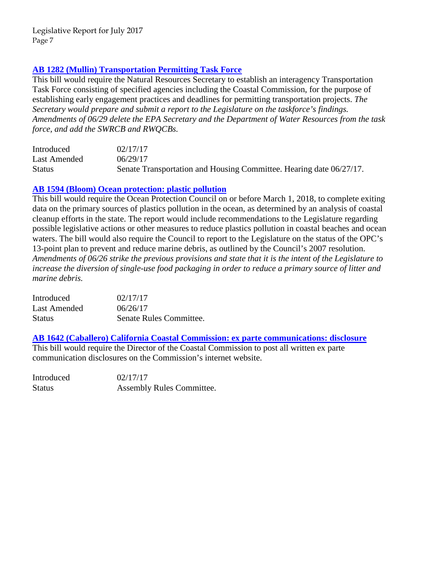## **[AB 1282 \(Mullin\) Transportation Permitting Task Force](http://leginfo.legislature.ca.gov/faces/billNavClient.xhtml?bill_id=201720180AB1282)**

This bill would require the Natural Resources Secretary to establish an interagency Transportation Task Force consisting of specified agencies including the Coastal Commission, for the purpose of establishing early engagement practices and deadlines for permitting transportation projects. *The Secretary would prepare and submit a report to the Legislature on the taskforce's findings. Amendments of 06/29 delete the EPA Secretary and the Department of Water Resources from the task force, and add the SWRCB and RWQCBs.* 

| Introduced    | 02/17/17                                                            |
|---------------|---------------------------------------------------------------------|
| Last Amended  | 06/29/17                                                            |
| <b>Status</b> | Senate Transportation and Housing Committee. Hearing date 06/27/17. |

## **[AB 1594 \(Bloom\) Ocean protection: plastic pollution](http://leginfo.legislature.ca.gov/faces/billNavClient.xhtml?bill_id=201720180AB1594)**

This bill would require the Ocean Protection Council on or before March 1, 2018, to complete exiting data on the primary sources of plastics pollution in the ocean, as determined by an analysis of coastal cleanup efforts in the state. The report would include recommendations to the Legislature regarding possible legislative actions or other measures to reduce plastics pollution in coastal beaches and ocean waters. The bill would also require the Council to report to the Legislature on the status of the OPC's 13-point plan to prevent and reduce marine debris, as outlined by the Council's 2007 resolution. *Amendments of 06/26 strike the previous provisions and state that it is the intent of the Legislature to increase the diversion of single-use food packaging in order to reduce a primary source of litter and marine debris.* 

| Introduced    | 02/17/17                |
|---------------|-------------------------|
| Last Amended  | 06/26/17                |
| <b>Status</b> | Senate Rules Committee. |

**[AB 1642 \(Caballero\) California Coastal Commission: ex parte communications: disclosure](http://leginfo.legislature.ca.gov/faces/billNavClient.xhtml?bill_id=201720180AB1642)**

This bill would require the Director of the Coastal Commission to post all written ex parte communication disclosures on the Commission's internet website.

Introduced 02/17/17 Status Assembly Rules Committee.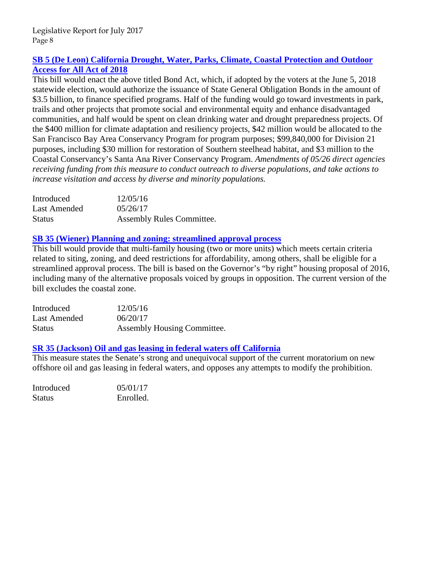## **[SB 5 \(De Leon\) California Drought, Water, Parks, Climate, Coastal Protection and Outdoor](http://leginfo.legislature.ca.gov/faces/billNavClient.xhtml?bill_id=201720180SB5)  [Access for All Act of 2018](http://leginfo.legislature.ca.gov/faces/billNavClient.xhtml?bill_id=201720180SB5)**

This bill would enact the above titled Bond Act, which, if adopted by the voters at the June 5, 2018 statewide election, would authorize the issuance of State General Obligation Bonds in the amount of \$3.5 billion, to finance specified programs. Half of the funding would go toward investments in park, trails and other projects that promote social and environmental equity and enhance disadvantaged communities, and half would be spent on clean drinking water and drought preparedness projects. Of the \$400 million for climate adaptation and resiliency projects, \$42 million would be allocated to the San Francisco Bay Area Conservancy Program for program purposes; \$99,840,000 for Division 21 purposes, including \$30 million for restoration of Southern steelhead habitat, and \$3 million to the Coastal Conservancy's Santa Ana River Conservancy Program. *Amendments of 05/26 direct agencies receiving funding from this measure to conduct outreach to diverse populations, and take actions to increase visitation and access by diverse and minority populations.* 

| Introduced    | 12/05/16                         |
|---------------|----------------------------------|
| Last Amended  | 05/26/17                         |
| <b>Status</b> | <b>Assembly Rules Committee.</b> |

## **[SB 35 \(Wiener\) Planning and zoning: streamlined approval process](http://leginfo.legislature.ca.gov/faces/billVersionsCompareClient.xhtml?bill_id=201720180SB35&cversion=20170SB3594AMD)**

This bill would provide that multi-family housing (two or more units) which meets certain criteria related to siting, zoning, and deed restrictions for affordability, among others, shall be eligible for a streamlined approval process. The bill is based on the Governor's "by right" housing proposal of 2016, including many of the alternative proposals voiced by groups in opposition. The current version of the bill excludes the coastal zone.

| Introduced    | 12/05/16                    |
|---------------|-----------------------------|
| Last Amended  | 06/20/17                    |
| <b>Status</b> | Assembly Housing Committee. |

## **[SR 35 \(Jackson\) Oil and gas leasing in federal waters off California](http://leginfo.legislature.ca.gov/faces/billTextClient.xhtml?bill_id=201720180SR35&search_keywords=Marine+Sanctuaries)**

This measure states the Senate's strong and unequivocal support of the current moratorium on new offshore oil and gas leasing in federal waters, and opposes any attempts to modify the prohibition.

| Introduced    | 05/01/17  |
|---------------|-----------|
| <b>Status</b> | Enrolled. |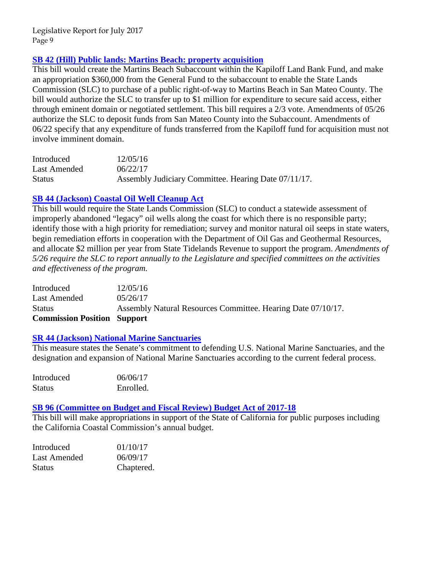## **[SB 42 \(Hill\) Public lands: Martins Beach: property acquisition](http://leginfo.legislature.ca.gov/faces/billNavClient.xhtml?bill_id=201720180SB42)**

This bill would create the Martins Beach Subaccount within the Kapiloff Land Bank Fund, and make an appropriation \$360,000 from the General Fund to the subaccount to enable the State Lands Commission (SLC) to purchase of a public right-of-way to Martins Beach in San Mateo County. The bill would authorize the SLC to transfer up to \$1 million for expenditure to secure said access, either through eminent domain or negotiated settlement. This bill requires a 2/3 vote. Amendments of 05/26 authorize the SLC to deposit funds from San Mateo County into the Subaccount. Amendments of 06/22 specify that any expenditure of funds transferred from the Kapiloff fund for acquisition must not involve imminent domain.

| Introduced    | 12/05/16                                             |
|---------------|------------------------------------------------------|
| Last Amended  | 06/22/17                                             |
| <b>Status</b> | Assembly Judiciary Committee. Hearing Date 07/11/17. |

## **[SB 44 \(Jackson\) Coastal Oil Well Cleanup Act](http://leginfo.legislature.ca.gov/faces/billNavClient.xhtml?bill_id=201720180SB44)**

This bill would require the State Lands Commission (SLC) to conduct a statewide assessment of improperly abandoned "legacy" oil wells along the coast for which there is no responsible party; identify those with a high priority for remediation; survey and monitor natural oil seeps in state waters, begin remediation efforts in cooperation with the Department of Oil Gas and Geothermal Resources, and allocate \$2 million per year from State Tidelands Revenue to support the program. *Amendments of 5/26 require the SLC to report annually to the Legislature and specified committees on the activities and effectiveness of the program.* 

| Assembly Natural Resources Committee. Hearing Date 07/10/17. |
|--------------------------------------------------------------|
|                                                              |
|                                                              |
|                                                              |

## **[SR 44 \(Jackson\) National Marine Sanctuaries](http://leginfo.legislature.ca.gov/faces/billNavClient.xhtml?bill_id=201720180SR44)**

This measure states the Senate's commitment to defending U.S. National Marine Sanctuaries, and the designation and expansion of National Marine Sanctuaries according to the current federal process.

| Introduced    | 06/06/17  |
|---------------|-----------|
| <b>Status</b> | Enrolled. |

## **[SB 96 \(Committee on Budget and Fiscal Review\) Budget Act of 2017-18](http://leginfo.legislature.ca.gov/faces/billNavClient.xhtml?bill_id=201720180SB96)**

This bill will make appropriations in support of the State of California for public purposes including the California Coastal Commission's annual budget.

| Introduced   | 01/10/17   |
|--------------|------------|
| Last Amended | 06/09/17   |
| Status       | Chaptered. |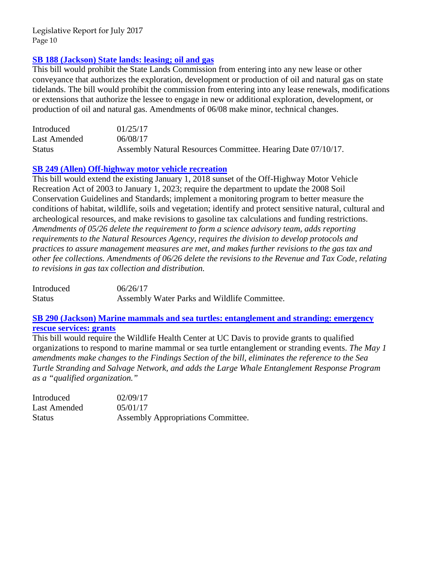## **[SB 188 \(Jackson\) State lands: leasing; oil and gas](http://leginfo.legislature.ca.gov/faces/billNavClient.xhtml?bill_id=201720180SB188)**

This bill would prohibit the State Lands Commission from entering into any new lease or other conveyance that authorizes the exploration, development or production of oil and natural gas on state tidelands. The bill would prohibit the commission from entering into any lease renewals, modifications or extensions that authorize the lessee to engage in new or additional exploration, development, or production of oil and natural gas. Amendments of 06/08 make minor, technical changes.

| Introduced    | 01/25/17                                                     |
|---------------|--------------------------------------------------------------|
| Last Amended  | 06/08/17                                                     |
| <b>Status</b> | Assembly Natural Resources Committee. Hearing Date 07/10/17. |

## **[SB 249 \(Allen\) Off-highway motor vehicle recreation](http://leginfo.legislature.ca.gov/faces/billNavClient.xhtml?bill_id=201720180SB249)**

This bill would extend the existing January 1, 2018 sunset of the Off-Highway Motor Vehicle Recreation Act of 2003 to January 1, 2023; require the department to update the 2008 Soil Conservation Guidelines and Standards; implement a monitoring program to better measure the conditions of habitat, wildlife, soils and vegetation; identify and protect sensitive natural, cultural and archeological resources, and make revisions to gasoline tax calculations and funding restrictions. *Amendments of 05/26 delete the requirement to form a science advisory team, adds reporting requirements to the Natural Resources Agency, requires the division to develop protocols and practices to assure management measures are met, and makes further revisions to the gas tax and other fee collections. Amendments of 06/26 delete the revisions to the Revenue and Tax Code, relating to revisions in gas tax collection and distribution.* 

Introduced 06/26/17 Status Assembly Water Parks and Wildlife Committee.

#### **[SB 290 \(Jackson\) Marine mammals and sea turtles: entanglement and stranding: emergency](http://leginfo.legislature.ca.gov/faces/billNavClient.xhtml?bill_id=201720180SB290)  [rescue services: grants](http://leginfo.legislature.ca.gov/faces/billNavClient.xhtml?bill_id=201720180SB290)**

This bill would require the Wildlife Health Center at UC Davis to provide grants to qualified organizations to respond to marine mammal or sea turtle entanglement or stranding events. *The May 1 amendments make changes to the Findings Section of the bill, eliminates the reference to the Sea Turtle Stranding and Salvage Network, and adds the Large Whale Entanglement Response Program as a "qualified organization."* 

| Introduced    | 02/09/17                           |
|---------------|------------------------------------|
| Last Amended  | 0.5/01/17                          |
| <b>Status</b> | Assembly Appropriations Committee. |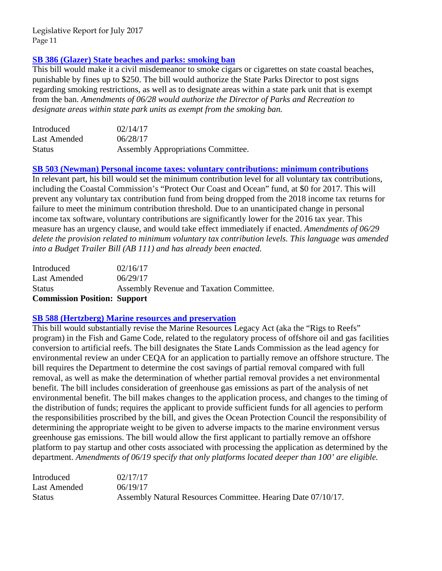## **[SB 386 \(Glazer\) State beaches and parks: smoking ban](http://leginfo.legislature.ca.gov/faces/billNavClient.xhtml?bill_id=201720180SB386)**

This bill would make it a civil misdemeanor to smoke cigars or cigarettes on state coastal beaches, punishable by fines up to \$250. The bill would authorize the State Parks Director to post signs regarding smoking restrictions, as well as to designate areas within a state park unit that is exempt from the ban. *Amendments of 06/28 would authorize the Director of Parks and Recreation to designate areas within state park units as exempt from the smoking ban.* 

| Introduced    | 02/14/17                                  |
|---------------|-------------------------------------------|
| Last Amended  | 06/28/17                                  |
| <b>Status</b> | <b>Assembly Appropriations Committee.</b> |

**[SB 503 \(Newman\) Personal income taxes: voluntary contributions: minimum contributions](http://leginfo.legislature.ca.gov/faces/billNavClient.xhtml?bill_id=201720180SB503)** 

In relevant part, his bill would set the minimum contribution level for all voluntary tax contributions, including the Coastal Commission's "Protect Our Coast and Ocean" fund, at \$0 for 2017. This will prevent any voluntary tax contribution fund from being dropped from the 2018 income tax returns for failure to meet the minimum contribution threshold. Due to an unanticipated change in personal income tax software, voluntary contributions are significantly lower for the 2016 tax year. This measure has an urgency clause, and would take effect immediately if enacted. *Amendments of 06/29 delete the provision related to minimum voluntary tax contribution levels. This language was amended into a Budget Trailer Bill (AB 111) and has already been enacted.* 

| <b>Commission Position: Support</b> |                                          |
|-------------------------------------|------------------------------------------|
| <b>Status</b>                       | Assembly Revenue and Taxation Committee. |
| Last Amended                        | 06/29/17                                 |
| Introduced                          | 02/16/17                                 |

#### **[SB 588 \(Hertzberg\) Marine resources and preservation](http://leginfo.legislature.ca.gov/faces/billTextClient.xhtml?bill_id=201720180SB588&search_keywords=coastal)**

This bill would substantially revise the Marine Resources Legacy Act (aka the "Rigs to Reefs" program) in the Fish and Game Code, related to the regulatory process of offshore oil and gas facilities conversion to artificial reefs. The bill designates the State Lands Commission as the lead agency for environmental review an under CEQA for an application to partially remove an offshore structure. The bill requires the Department to determine the cost savings of partial removal compared with full removal, as well as make the determination of whether partial removal provides a net environmental benefit. The bill includes consideration of greenhouse gas emissions as part of the analysis of net environmental benefit. The bill makes changes to the application process, and changes to the timing of the distribution of funds; requires the applicant to provide sufficient funds for all agencies to perform the responsibilities proscribed by the bill, and gives the Ocean Protection Council the responsibility of determining the appropriate weight to be given to adverse impacts to the marine environment versus greenhouse gas emissions. The bill would allow the first applicant to partially remove an offshore platform to pay startup and other costs associated with processing the application as determined by the department. *Amendments of 06/19 specify that only platforms located deeper than 100' are eligible.* 

| Introduced    | 02/17/17                                                     |
|---------------|--------------------------------------------------------------|
| Last Amended  | 06/19/17                                                     |
| <b>Status</b> | Assembly Natural Resources Committee. Hearing Date 07/10/17. |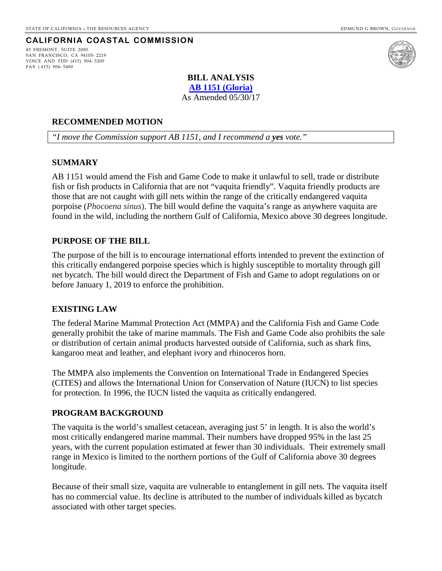## **CALIFORNIA COASTAL COMMISSION**

<span id="page-11-0"></span>45 FREMONT, SUITE 2000 SAN FRANCISCO, CA 94105- 2219 VOICE AND TDD (415) 904- 5200 FAX ( 415) 904- 5400



#### **BILL ANALYSIS [AB 1151 \(Gloria\)](http://leginfo.legislature.ca.gov/faces/billNavClient.xhtml?bill_id=201720180AB1151)**

As Amended 05/30/17

#### **RECOMMENDED MOTION**

*"I move the Commission support AB 1151, and I recommend a yes vote."*

#### **SUMMARY**

AB 1151 would amend the Fish and Game Code to make it unlawful to sell, trade or distribute fish or fish products in California that are not "vaquita friendly". Vaquita friendly products are those that are not caught with gill nets within the range of the critically endangered vaquita porpoise (*Phocoena sinus*). The bill would define the vaquita's range as anywhere vaquita are found in the wild, including the northern Gulf of California, Mexico above 30 degrees longitude.

#### **PURPOSE OF THE BILL**

The purpose of the bill is to encourage international efforts intended to prevent the extinction of this critically endangered porpoise species which is highly susceptible to mortality through gill net bycatch. The bill would direct the Department of Fish and Game to adopt regulations on or before January 1, 2019 to enforce the prohibition.

#### **EXISTING LAW**

The federal Marine Mammal Protection Act (MMPA) and the California Fish and Game Code generally prohibit the take of marine mammals. The Fish and Game Code also prohibits the sale or distribution of certain animal products harvested outside of California, such as shark fins, kangaroo meat and leather, and elephant ivory and rhinoceros horn.

The MMPA also implements the Convention on International Trade in Endangered Species (CITES) and allows the International Union for Conservation of Nature (IUCN) to list species for protection. In 1996, the IUCN listed the vaquita as critically endangered.

#### **PROGRAM BACKGROUND**

The vaquita is the world's smallest cetacean, averaging just 5' in length. It is also the world's most critically endangered marine mammal. Their numbers have dropped 95% in the last 25 years, with the current population estimated at fewer than 30 individuals. Their extremely small range in Mexico is limited to the northern portions of the Gulf of California above 30 degrees longitude.

Because of their small size, vaquita are vulnerable to entanglement in gill nets. The vaquita itself has no commercial value. Its decline is attributed to the number of individuals killed as bycatch associated with other target species.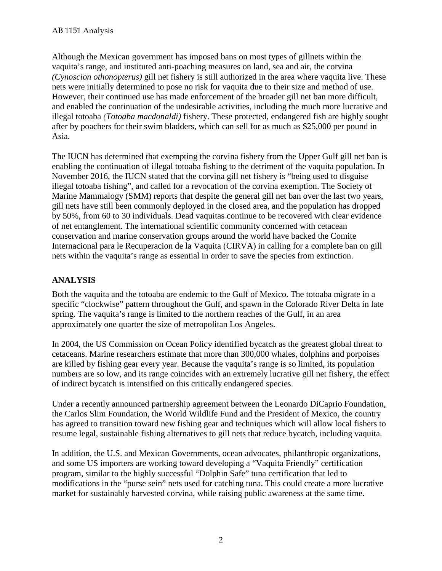Although the Mexican government has imposed bans on most types of gillnets within the vaquita's range, and instituted anti-poaching measures on land, sea and air, the corvina *(Cynoscion othonopterus)* gill net fishery is still authorized in the area where vaquita live. These nets were initially determined to pose no risk for vaquita due to their size and method of use. However, their continued use has made enforcement of the broader gill net ban more difficult, and enabled the continuation of the undesirable activities, including the much more lucrative and illegal totoaba *(Totoaba macdonaldi)* fishery. These protected, endangered fish are highly sought after by poachers for their swim bladders, which can sell for as much as \$25,000 per pound in Asia.

The IUCN has determined that exempting the corvina fishery from the Upper Gulf gill net ban is enabling the continuation of illegal totoaba fishing to the detriment of the vaquita population. In November 2016, the IUCN stated that the corvina gill net fishery is "being used to disguise illegal totoaba fishing", and called for a revocation of the corvina exemption. The Society of Marine Mammalogy (SMM) reports that despite the general gill net ban over the last two years, gill nets have still been commonly deployed in the closed area, and the population has dropped by 50%, from 60 to 30 individuals. Dead vaquitas continue to be recovered with clear evidence of net entanglement. The international scientific community concerned with cetacean conservation and marine conservation groups around the world have backed the Comite Internacional para le Recuperacion de la Vaquita (CIRVA) in calling for a complete ban on gill nets within the vaquita's range as essential in order to save the species from extinction.

## **ANALYSIS**

Both the vaquita and the totoaba are endemic to the Gulf of Mexico. The totoaba migrate in a specific "clockwise" pattern throughout the Gulf, and spawn in the Colorado River Delta in late spring. The vaquita's range is limited to the northern reaches of the Gulf, in an area approximately one quarter the size of metropolitan Los Angeles.

In 2004, the US Commission on Ocean Policy identified bycatch as the greatest global threat to cetaceans. Marine researchers estimate that more than 300,000 whales, dolphins and porpoises are killed by fishing gear every year. Because the vaquita's range is so limited, its population numbers are so low, and its range coincides with an extremely lucrative gill net fishery, the effect of indirect bycatch is intensified on this critically endangered species.

Under a recently announced partnership agreement between the Leonardo DiCaprio Foundation, the Carlos Slim Foundation, the World Wildlife Fund and the President of Mexico, the country has agreed to transition toward new fishing gear and techniques which will allow local fishers to resume legal, sustainable fishing alternatives to gill nets that reduce bycatch, including vaquita.

In addition, the U.S. and Mexican Governments, ocean advocates, philanthropic organizations, and some US importers are working toward developing a "Vaquita Friendly" certification program, similar to the highly successful "Dolphin Safe" tuna certification that led to modifications in the "purse sein" nets used for catching tuna. This could create a more lucrative market for sustainably harvested corvina, while raising public awareness at the same time.